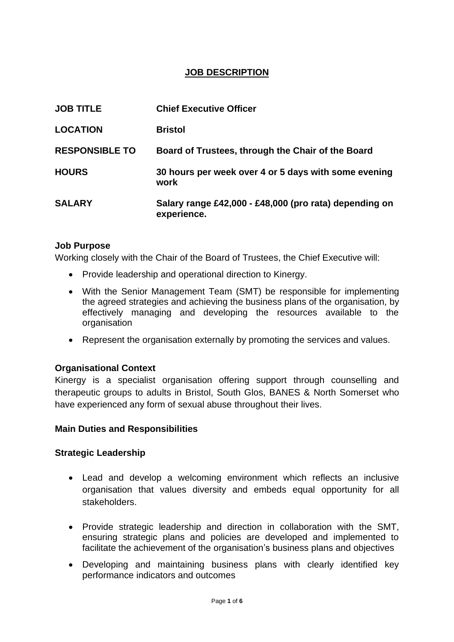## **JOB DESCRIPTION**

| <b>JOB TITLE</b>      | <b>Chief Executive Officer</b>                                        |
|-----------------------|-----------------------------------------------------------------------|
| <b>LOCATION</b>       | <b>Bristol</b>                                                        |
| <b>RESPONSIBLE TO</b> | Board of Trustees, through the Chair of the Board                     |
| <b>HOURS</b>          | 30 hours per week over 4 or 5 days with some evening<br>work          |
| <b>SALARY</b>         | Salary range £42,000 - £48,000 (pro rata) depending on<br>experience. |

### **Job Purpose**

Working closely with the Chair of the Board of Trustees, the Chief Executive will:

- Provide leadership and operational direction to Kinergy.
- With the Senior Management Team (SMT) be responsible for implementing the agreed strategies and achieving the business plans of the organisation, by effectively managing and developing the resources available to the organisation
- Represent the organisation externally by promoting the services and values.

## **Organisational Context**

Kinergy is a specialist organisation offering support through counselling and therapeutic groups to adults in Bristol, South Glos, BANES & North Somerset who have experienced any form of sexual abuse throughout their lives.

### **Main Duties and Responsibilities**

### **Strategic Leadership**

- Lead and develop a welcoming environment which reflects an inclusive organisation that values diversity and embeds equal opportunity for all stakeholders.
- Provide strategic leadership and direction in collaboration with the SMT, ensuring strategic plans and policies are developed and implemented to facilitate the achievement of the organisation's business plans and objectives
- Developing and maintaining business plans with clearly identified key performance indicators and outcomes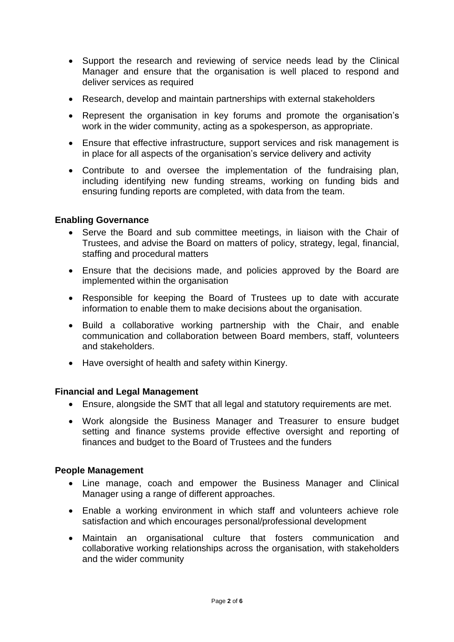- Support the research and reviewing of service needs lead by the Clinical Manager and ensure that the organisation is well placed to respond and deliver services as required
- Research, develop and maintain partnerships with external stakeholders
- Represent the organisation in key forums and promote the organisation's work in the wider community, acting as a spokesperson, as appropriate.
- Ensure that effective infrastructure, support services and risk management is in place for all aspects of the organisation's service delivery and activity
- Contribute to and oversee the implementation of the fundraising plan, including identifying new funding streams, working on funding bids and ensuring funding reports are completed, with data from the team.

### **Enabling Governance**

- Serve the Board and sub committee meetings, in liaison with the Chair of Trustees, and advise the Board on matters of policy, strategy, legal, financial, staffing and procedural matters
- Ensure that the decisions made, and policies approved by the Board are implemented within the organisation
- Responsible for keeping the Board of Trustees up to date with accurate information to enable them to make decisions about the organisation.
- Build a collaborative working partnership with the Chair, and enable communication and collaboration between Board members, staff, volunteers and stakeholders.
- Have oversight of health and safety within Kinergy.

### **Financial and Legal Management**

- Ensure, alongside the SMT that all legal and statutory requirements are met.
- Work alongside the Business Manager and Treasurer to ensure budget setting and finance systems provide effective oversight and reporting of finances and budget to the Board of Trustees and the funders

#### **People Management**

- Line manage, coach and empower the Business Manager and Clinical Manager using a range of different approaches.
- Enable a working environment in which staff and volunteers achieve role satisfaction and which encourages personal/professional development
- Maintain an organisational culture that fosters communication and collaborative working relationships across the organisation, with stakeholders and the wider community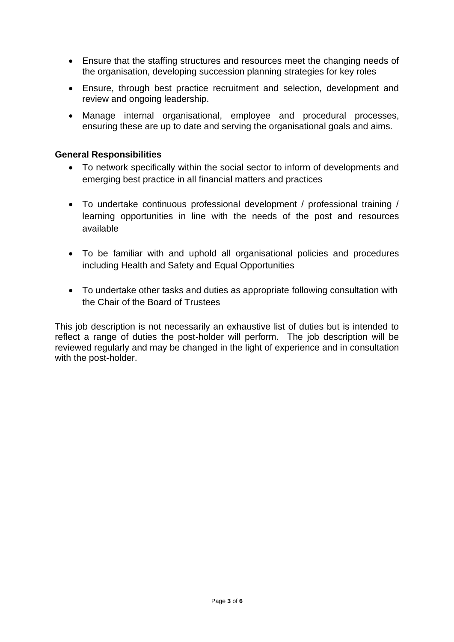- Ensure that the staffing structures and resources meet the changing needs of the organisation, developing succession planning strategies for key roles
- Ensure, through best practice recruitment and selection, development and review and ongoing leadership.
- Manage internal organisational, employee and procedural processes, ensuring these are up to date and serving the organisational goals and aims.

### **General Responsibilities**

- To network specifically within the social sector to inform of developments and emerging best practice in all financial matters and practices
- To undertake continuous professional development / professional training / learning opportunities in line with the needs of the post and resources available
- To be familiar with and uphold all organisational policies and procedures including Health and Safety and Equal Opportunities
- To undertake other tasks and duties as appropriate following consultation with the Chair of the Board of Trustees

This job description is not necessarily an exhaustive list of duties but is intended to reflect a range of duties the post-holder will perform. The job description will be reviewed regularly and may be changed in the light of experience and in consultation with the post-holder.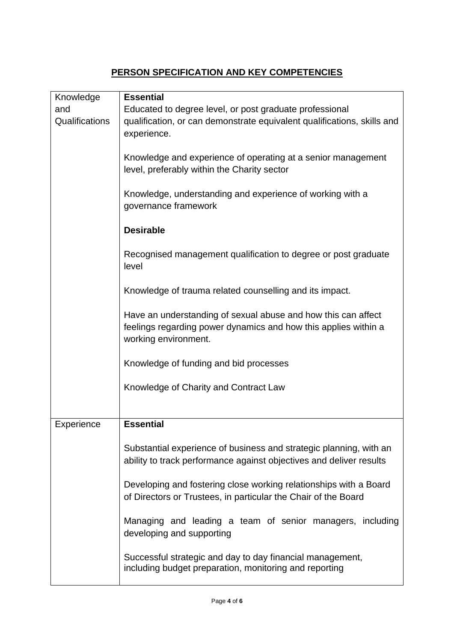# **PERSON SPECIFICATION AND KEY COMPETENCIES**

| Knowledge      | <b>Essential</b>                                                        |
|----------------|-------------------------------------------------------------------------|
| and            | Educated to degree level, or post graduate professional                 |
| Qualifications | qualification, or can demonstrate equivalent qualifications, skills and |
|                | experience.                                                             |
|                |                                                                         |
|                | Knowledge and experience of operating at a senior management            |
|                | level, preferably within the Charity sector                             |
|                |                                                                         |
|                | Knowledge, understanding and experience of working with a               |
|                | governance framework                                                    |
|                |                                                                         |
|                | <b>Desirable</b>                                                        |
|                |                                                                         |
|                |                                                                         |
|                | Recognised management qualification to degree or post graduate          |
|                | level                                                                   |
|                |                                                                         |
|                | Knowledge of trauma related counselling and its impact.                 |
|                |                                                                         |
|                | Have an understanding of sexual abuse and how this can affect           |
|                | feelings regarding power dynamics and how this applies within a         |
|                | working environment.                                                    |
|                |                                                                         |
|                | Knowledge of funding and bid processes                                  |
|                |                                                                         |
|                | Knowledge of Charity and Contract Law                                   |
|                |                                                                         |
|                |                                                                         |
| Experience     | <b>Essential</b>                                                        |
|                |                                                                         |
|                | Substantial experience of business and strategic planning, with an      |
|                | ability to track performance against objectives and deliver results     |
|                |                                                                         |
|                | Developing and fostering close working relationships with a Board       |
|                | of Directors or Trustees, in particular the Chair of the Board          |
|                |                                                                         |
|                | Managing and leading a team of senior managers, including               |
|                | developing and supporting                                               |
|                |                                                                         |
|                | Successful strategic and day to day financial management,               |
|                | including budget preparation, monitoring and reporting                  |
|                |                                                                         |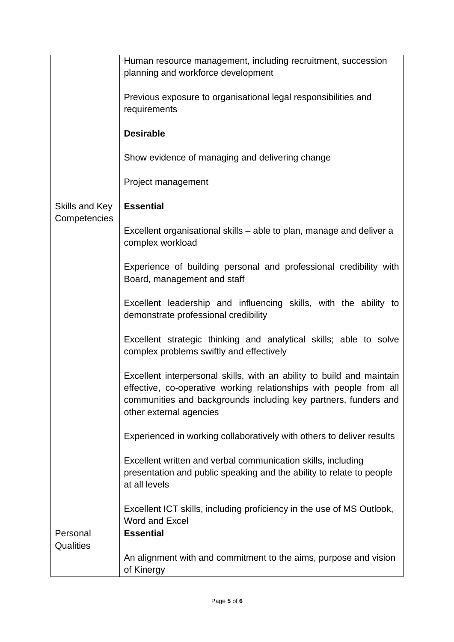|                | Human resource management, including recruitment, succession                                                                                                                                                                              |
|----------------|-------------------------------------------------------------------------------------------------------------------------------------------------------------------------------------------------------------------------------------------|
|                | planning and workforce development                                                                                                                                                                                                        |
|                | Previous exposure to organisational legal responsibilities and<br>requirements                                                                                                                                                            |
|                | <b>Desirable</b>                                                                                                                                                                                                                          |
|                | Show evidence of managing and delivering change                                                                                                                                                                                           |
|                | Project management                                                                                                                                                                                                                        |
| Skills and Key | <b>Essential</b>                                                                                                                                                                                                                          |
| Competencies   | Excellent organisational skills – able to plan, manage and deliver a<br>complex workload                                                                                                                                                  |
|                | Experience of building personal and professional credibility with<br>Board, management and staff                                                                                                                                          |
|                | Excellent leadership and influencing skills, with the ability to<br>demonstrate professional credibility                                                                                                                                  |
|                | Excellent strategic thinking and analytical skills; able to solve<br>complex problems swiftly and effectively                                                                                                                             |
|                | Excellent interpersonal skills, with an ability to build and maintain<br>effective, co-operative working relationships with people from all<br>communities and backgrounds including key partners, funders and<br>other external agencies |
|                | Experienced in working collaboratively with others to deliver results                                                                                                                                                                     |
|                | Excellent written and verbal communication skills, including<br>presentation and public speaking and the ability to relate to people<br>at all levels                                                                                     |
|                | Excellent ICT skills, including proficiency in the use of MS Outlook,<br>Word and Excel                                                                                                                                                   |
| Personal       | <b>Essential</b>                                                                                                                                                                                                                          |
| Qualities      |                                                                                                                                                                                                                                           |
|                | An alignment with and commitment to the aims, purpose and vision<br>of Kinergy                                                                                                                                                            |